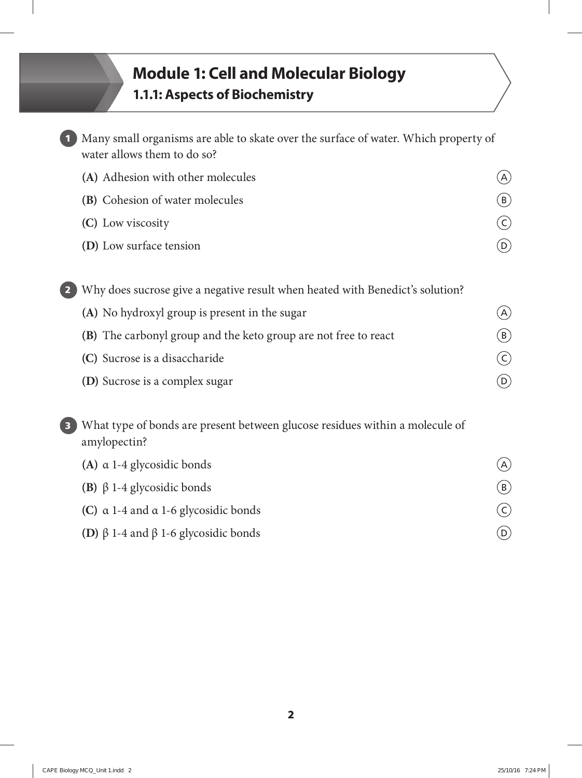## **Module 1: Cell and Molecular Biology 1.1.1: Aspects of Biochemistry**

|                         | Many small organisms are able to skate over the surface of water. Which property of<br>water allows them to do so? |                            |
|-------------------------|--------------------------------------------------------------------------------------------------------------------|----------------------------|
|                         | (A) Adhesion with other molecules                                                                                  | (A)                        |
|                         | (B) Cohesion of water molecules                                                                                    | $(\mathsf{B})$             |
|                         | (C) Low viscosity                                                                                                  | $(\mathsf{c})$             |
|                         | (D) Low surface tension                                                                                            | $\left( \mathsf{D}\right)$ |
|                         | Why does sucrose give a negative result when heated with Benedict's solution?                                      |                            |
|                         | (A) No hydroxyl group is present in the sugar                                                                      | (A)                        |
|                         | (B) The carbonyl group and the keto group are not free to react                                                    | $(\mathsf{B})$             |
|                         | (C) Sucrose is a disaccharide                                                                                      | $(\mathsf{c})$             |
|                         | (D) Sucrose is a complex sugar                                                                                     | $\left( \mathsf{D}\right)$ |
| $\overline{\mathbf{3}}$ | What type of bonds are present between glucose residues within a molecule of<br>amylopectin?                       |                            |

| (A) $\alpha$ 1-4 glycosidic bonds                       | (A)            |
|---------------------------------------------------------|----------------|
| (B) $\beta$ 1-4 glycosidic bonds                        | (B)            |
| (C) $\alpha$ 1-4 and $\alpha$ 1-6 glycosidic bonds      | $(\mathsf{C})$ |
| <b>(D)</b> $\beta$ 1-4 and $\beta$ 1-6 glycosidic bonds | (D)            |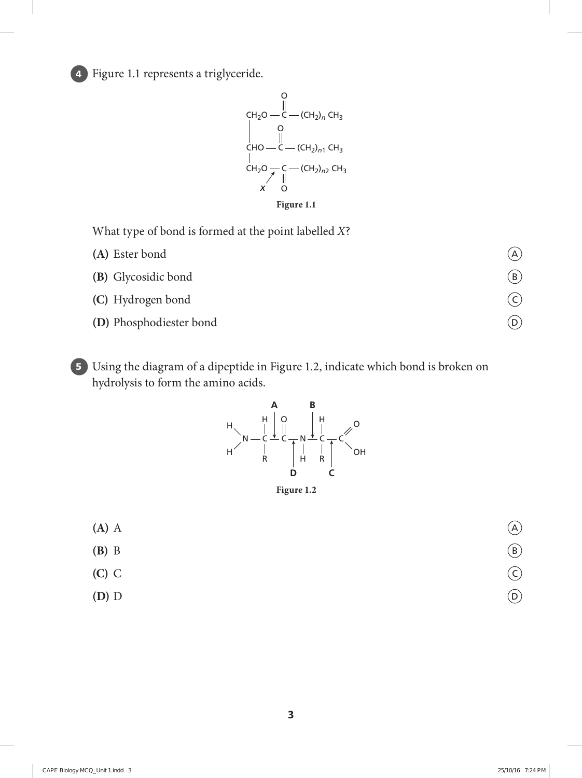**4** Figure 1.1 represents a triglyceride.



What type of bond is formed at the point labelled *X*?

| (A) Ester bond          | (A                      |
|-------------------------|-------------------------|
| (B) Glycosidic bond     | $\overline{\mathsf{B}}$ |
| (C) Hydrogen bond       |                         |
| (D) Phosphodiester bond | ้D                      |

**5** Using the diagram of a dipeptide in Figure 1.2, indicate which bond is broken on hydrolysis to form the amino acids.



**Figure 1.2**

**(A)** A A **(B)** B B **(C)** C C **(D)** D D

**3**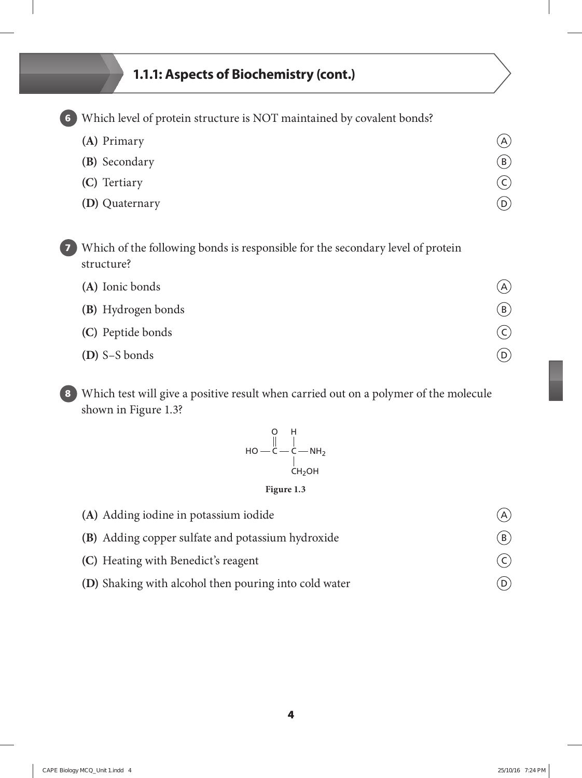## **1.1.1: Aspects of Biochemistry (cont.)**

**6** Which level of protein structure is NOT maintained by covalent bonds?

| (A) Primary    | (A)               |
|----------------|-------------------|
| (B) Secondary  | (B)               |
| (C) Tertiary   | $\left(  \right)$ |
| (D) Quaternary | (D)               |

**7** Which of the following bonds is responsible for the secondary level of protein structure?

| (A) Ionic bonds    | (A)               |
|--------------------|-------------------|
| (B) Hydrogen bonds | (B)               |
| (C) Peptide bonds  | $\left(  \right)$ |
| (D) S-S bonds      |                   |

**8** Which test will give a positive result when carried out on a polymer of the molecule shown in Figure 1.3?



## **Figure 1.3**

| (A) Adding iodine in potassium iodide                 |                |
|-------------------------------------------------------|----------------|
| (B) Adding copper sulfate and potassium hydroxide     | (B)            |
| (C) Heating with Benedict's reagent                   | $(\mathsf{c})$ |
| (D) Shaking with alcohol then pouring into cold water |                |